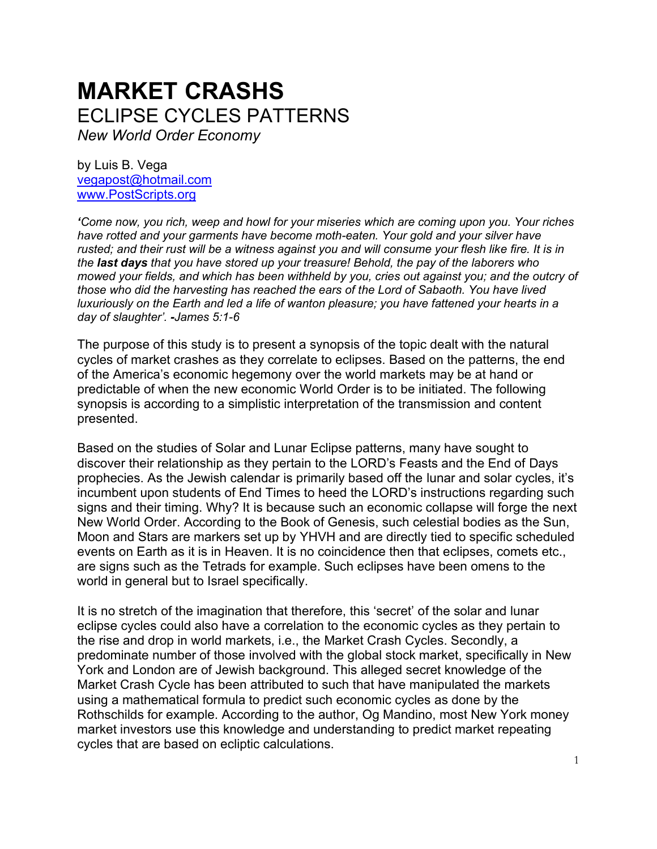# **MARKET CRASHS** ECLIPSE CYCLES PATTERNS

*New World Order Economy*

by Luis B. Vega [vegapost@hotmail.com](mailto:vegapost@hotmail.com) [www.PostScripts.org](http://www.postscripts.org/)

*'Come now, you rich, weep and howl for your miseries which are coming upon you. Your riches have rotted and your garments have become moth-eaten. Your gold and your silver have rusted; and their rust will be a witness against you and will consume your flesh like fire. It is in the last days that you have stored up your treasure! Behold, the pay of the laborers who mowed your fields, and which has been withheld by you, cries out against you; and the outcry of those who did the harvesting has reached the ears of the Lord of Sabaoth. You have lived luxuriously on the Earth and led a life of wanton pleasure; you have fattened your hearts in a day of slaughter'. -James 5:1-6*

The purpose of this study is to present a synopsis of the topic dealt with the natural cycles of market crashes as they correlate to eclipses. Based on the patterns, the end of the America's economic hegemony over the world markets may be at hand or predictable of when the new economic World Order is to be initiated. The following synopsis is according to a simplistic interpretation of the transmission and content presented.

Based on the studies of Solar and Lunar Eclipse patterns, many have sought to discover their relationship as they pertain to the LORD's Feasts and the End of Days prophecies. As the Jewish calendar is primarily based off the lunar and solar cycles, it's incumbent upon students of End Times to heed the LORD's instructions regarding such signs and their timing. Why? It is because such an economic collapse will forge the next New World Order. According to the Book of Genesis, such celestial bodies as the Sun, Moon and Stars are markers set up by YHVH and are directly tied to specific scheduled events on Earth as it is in Heaven. It is no coincidence then that eclipses, comets etc., are signs such as the Tetrads for example. Such eclipses have been omens to the world in general but to Israel specifically.

It is no stretch of the imagination that therefore, this 'secret' of the solar and lunar eclipse cycles could also have a correlation to the economic cycles as they pertain to the rise and drop in world markets, i.e., the Market Crash Cycles. Secondly, a predominate number of those involved with the global stock market, specifically in New York and London are of Jewish background. This alleged secret knowledge of the Market Crash Cycle has been attributed to such that have manipulated the markets using a mathematical formula to predict such economic cycles as done by the Rothschilds for example. According to the author, Og Mandino, most New York money market investors use this knowledge and understanding to predict market repeating cycles that are based on ecliptic calculations.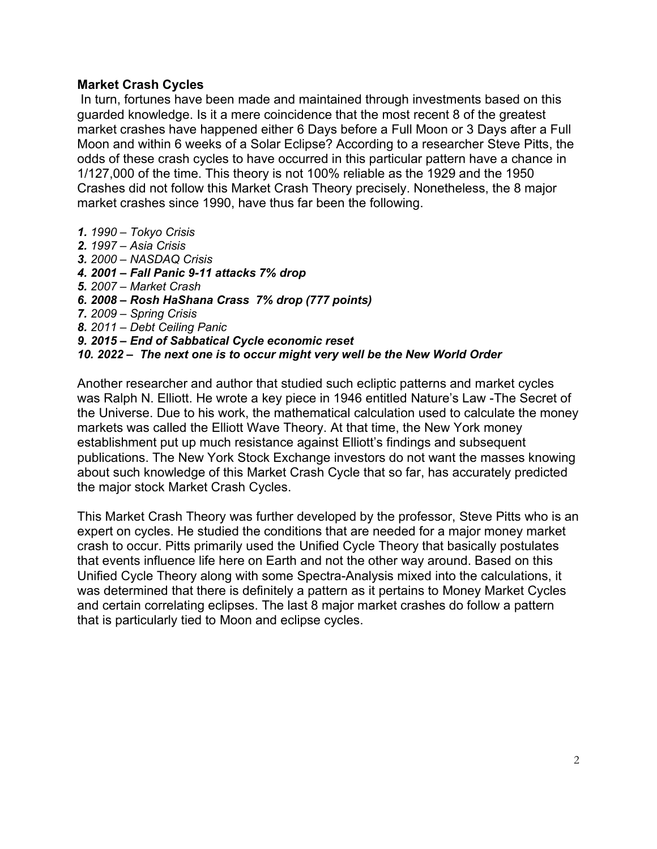## **Market Crash Cycles**

In turn, fortunes have been made and maintained through investments based on this guarded knowledge. Is it a mere coincidence that the most recent 8 of the greatest market crashes have happened either 6 Days before a Full Moon or 3 Days after a Full Moon and within 6 weeks of a Solar Eclipse? According to a researcher Steve Pitts, the odds of these crash cycles to have occurred in this particular pattern have a chance in 1/127,000 of the time. This theory is not 100% reliable as the 1929 and the 1950 Crashes did not follow this Market Crash Theory precisely. Nonetheless, the 8 major market crashes since 1990, have thus far been the following.

- *1. 1990 – Tokyo Crisis*
- *2. 1997 – Asia Crisis*
- *3. 2000 – NASDAQ Crisis*
- *4. 2001 – Fall Panic 9-11 attacks 7% drop*
- *5. 2007 – Market Crash*
- *6. 2008 – Rosh HaShana Crass 7% drop (777 points)*
- *7. 2009 – Spring Crisis*
- *8. 2011 – Debt Ceiling Panic*

*9. 2015 – End of Sabbatical Cycle economic reset* 

*10. 2022 – The next one is to occur might very well be the New World Order*

Another researcher and author that studied such ecliptic patterns and market cycles was Ralph N. Elliott. He wrote a key piece in 1946 entitled Nature's Law -The Secret of the Universe. Due to his work, the mathematical calculation used to calculate the money markets was called the Elliott Wave Theory. At that time, the New York money establishment put up much resistance against Elliott's findings and subsequent publications. The New York Stock Exchange investors do not want the masses knowing about such knowledge of this Market Crash Cycle that so far, has accurately predicted the major stock Market Crash Cycles.

This Market Crash Theory was further developed by the professor, Steve Pitts who is an expert on cycles. He studied the conditions that are needed for a major money market crash to occur. Pitts primarily used the Unified Cycle Theory that basically postulates that events influence life here on Earth and not the other way around. Based on this Unified Cycle Theory along with some Spectra-Analysis mixed into the calculations, it was determined that there is definitely a pattern as it pertains to Money Market Cycles and certain correlating eclipses. The last 8 major market crashes do follow a pattern that is particularly tied to Moon and eclipse cycles.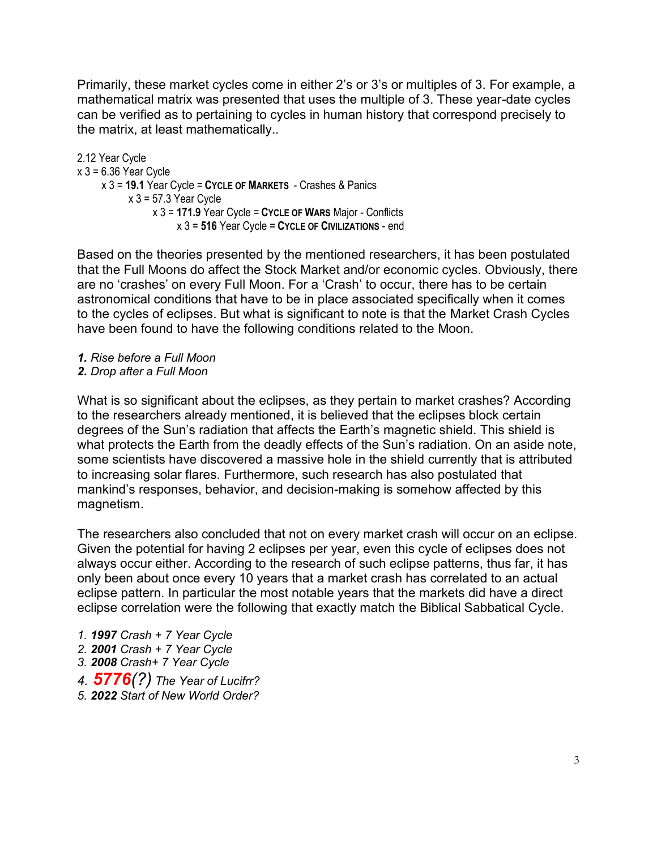Primarily, these market cycles come in either 2's or 3's or multiples of 3. For example, a mathematical matrix was presented that uses the multiple of 3. These year-date cycles can be verified as to pertaining to cycles in human history that correspond precisely to the matrix, at least mathematically.*.*

2.12 Year Cycle  $x$  3 = 6.36 Year Cycle x 3 = **19.1** Year Cycle = **CYCLE OF MARKETS** - Crashes & Panics  $x$  3 = 57.3 Year Cycle x 3 = **171.9** Year Cycle = **CYCLE OF WARS** Major - Conflicts x 3 = **516** Year Cycle = **CYCLE OF CIVILIZATIONS** - end

Based on the theories presented by the mentioned researchers, it has been postulated that the Full Moons do affect the Stock Market and/or economic cycles. Obviously, there are no 'crashes' on every Full Moon. For a 'Crash' to occur, there has to be certain astronomical conditions that have to be in place associated specifically when it comes to the cycles of eclipses. But what is significant to note is that the Market Crash Cycles have been found to have the following conditions related to the Moon.

- *1. Rise before a Full Moon*
- *2. Drop after a Full Moon*

What is so significant about the eclipses, as they pertain to market crashes? According to the researchers already mentioned, it is believed that the eclipses block certain degrees of the Sun's radiation that affects the Earth's magnetic shield. This shield is what protects the Earth from the deadly effects of the Sun's radiation. On an aside note, some scientists have discovered a massive hole in the shield currently that is attributed to increasing solar flares. Furthermore, such research has also postulated that mankind's responses, behavior, and decision-making is somehow affected by this magnetism.

The researchers also concluded that not on every market crash will occur on an eclipse. Given the potential for having 2 eclipses per year, even this cycle of eclipses does not always occur either. According to the research of such eclipse patterns, thus far, it has only been about once every 10 years that a market crash has correlated to an actual eclipse pattern. In particular the most notable years that the markets did have a direct eclipse correlation were the following that exactly match the Biblical Sabbatical Cycle.

- *1. 1997 Crash + 7 Year Cycle*
- *2. 2001 Crash + 7 Year Cycle*
- *3. 2008 Crash+ 7 Year Cycle*
- *4. 5776(?) The Year of Lucifrr?*
- *5. 2022 Start of New World Order?*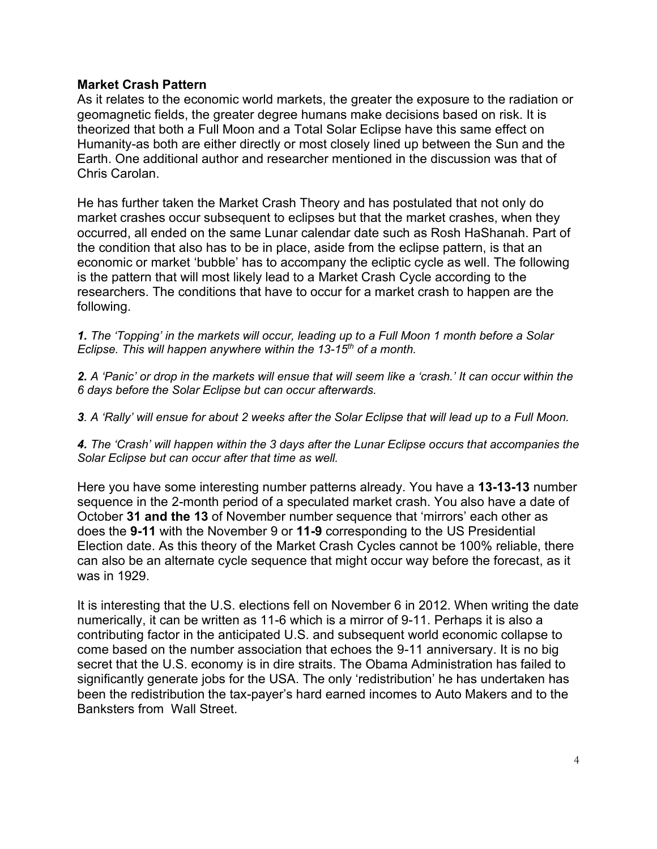## **Market Crash Pattern**

As it relates to the economic world markets, the greater the exposure to the radiation or geomagnetic fields, the greater degree humans make decisions based on risk. It is theorized that both a Full Moon and a Total Solar Eclipse have this same effect on Humanity-as both are either directly or most closely lined up between the Sun and the Earth. One additional author and researcher mentioned in the discussion was that of Chris Carolan.

He has further taken the Market Crash Theory and has postulated that not only do market crashes occur subsequent to eclipses but that the market crashes, when they occurred, all ended on the same Lunar calendar date such as Rosh HaShanah. Part of the condition that also has to be in place, aside from the eclipse pattern, is that an economic or market 'bubble' has to accompany the ecliptic cycle as well. The following is the pattern that will most likely lead to a Market Crash Cycle according to the researchers. The conditions that have to occur for a market crash to happen are the following.

*1. The 'Topping' in the markets will occur, leading up to a Full Moon 1 month before a Solar Eclipse. This will happen anywhere within the 13-15th of a month.*

*2. A 'Panic' or drop in the markets will ensue that will seem like a 'crash.' It can occur within the 6 days before the Solar Eclipse but can occur afterwards.*

*3. A 'Rally' will ensue for about 2 weeks after the Solar Eclipse that will lead up to a Full Moon.*

*4. The 'Crash' will happen within the 3 days after the Lunar Eclipse occurs that accompanies the Solar Eclipse but can occur after that time as well.*

Here you have some interesting number patterns already. You have a **13-13-13** number sequence in the 2-month period of a speculated market crash. You also have a date of October **31 and the 13** of November number sequence that 'mirrors' each other as does the **9-11** with the November 9 or **11-9** corresponding to the US Presidential Election date. As this theory of the Market Crash Cycles cannot be 100% reliable, there can also be an alternate cycle sequence that might occur way before the forecast, as it was in 1929.

It is interesting that the U.S. elections fell on November 6 in 2012. When writing the date numerically, it can be written as 11-6 which is a mirror of 9-11. Perhaps it is also a contributing factor in the anticipated U.S. and subsequent world economic collapse to come based on the number association that echoes the 9-11 anniversary. It is no big secret that the U.S. economy is in dire straits. The Obama Administration has failed to significantly generate jobs for the USA. The only 'redistribution' he has undertaken has been the redistribution the tax-payer's hard earned incomes to Auto Makers and to the Banksters from Wall Street.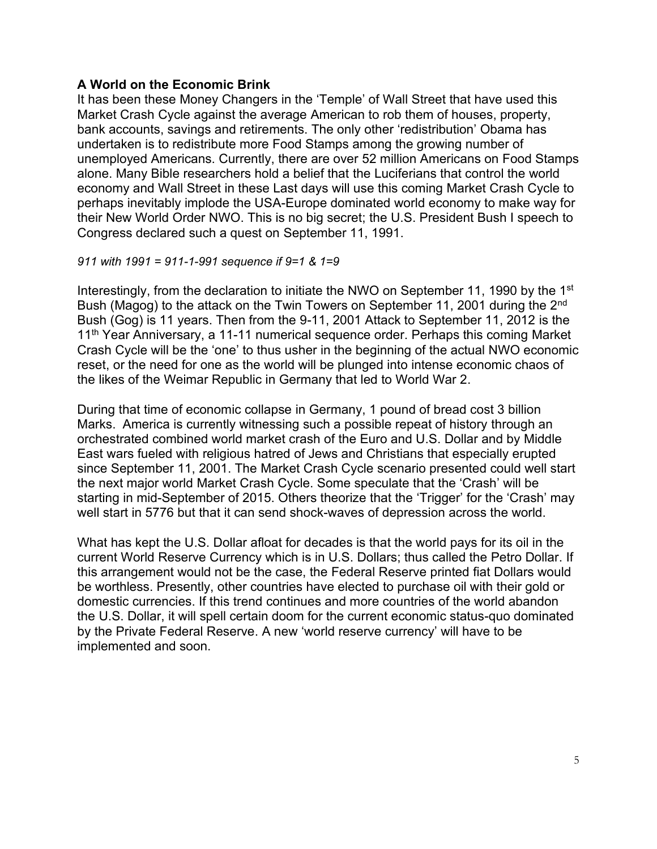# **A World on the Economic Brink**

It has been these Money Changers in the 'Temple' of Wall Street that have used this Market Crash Cycle against the average American to rob them of houses, property, bank accounts, savings and retirements. The only other 'redistribution' Obama has undertaken is to redistribute more Food Stamps among the growing number of unemployed Americans. Currently, there are over 52 million Americans on Food Stamps alone. Many Bible researchers hold a belief that the Luciferians that control the world economy and Wall Street in these Last days will use this coming Market Crash Cycle to perhaps inevitably implode the USA-Europe dominated world economy to make way for their New World Order NWO. This is no big secret; the U.S. President Bush I speech to Congress declared such a quest on September 11, 1991.

## *911 with 1991 = 911-1-991 sequence if 9=1 & 1=9*

Interestingly, from the declaration to initiate the NWO on September 11, 1990 by the 1<sup>st</sup> Bush (Magog) to the attack on the Twin Towers on September 11, 2001 during the 2<sup>nd</sup> Bush (Gog) is 11 years. Then from the 9-11, 2001 Attack to September 11, 2012 is the 11<sup>th</sup> Year Anniversary, a 11-11 numerical sequence order. Perhaps this coming Market Crash Cycle will be the 'one' to thus usher in the beginning of the actual NWO economic reset, or the need for one as the world will be plunged into intense economic chaos of the likes of the Weimar Republic in Germany that led to World War 2.

During that time of economic collapse in Germany, 1 pound of bread cost 3 billion Marks. America is currently witnessing such a possible repeat of history through an orchestrated combined world market crash of the Euro and U.S. Dollar and by Middle East wars fueled with religious hatred of Jews and Christians that especially erupted since September 11, 2001. The Market Crash Cycle scenario presented could well start the next major world Market Crash Cycle. Some speculate that the 'Crash' will be starting in mid-September of 2015. Others theorize that the 'Trigger' for the 'Crash' may well start in 5776 but that it can send shock-waves of depression across the world.

What has kept the U.S. Dollar afloat for decades is that the world pays for its oil in the current World Reserve Currency which is in U.S. Dollars; thus called the Petro Dollar. If this arrangement would not be the case, the Federal Reserve printed fiat Dollars would be worthless. Presently, other countries have elected to purchase oil with their gold or domestic currencies. If this trend continues and more countries of the world abandon the U.S. Dollar, it will spell certain doom for the current economic status-quo dominated by the Private Federal Reserve. A new 'world reserve currency' will have to be implemented and soon.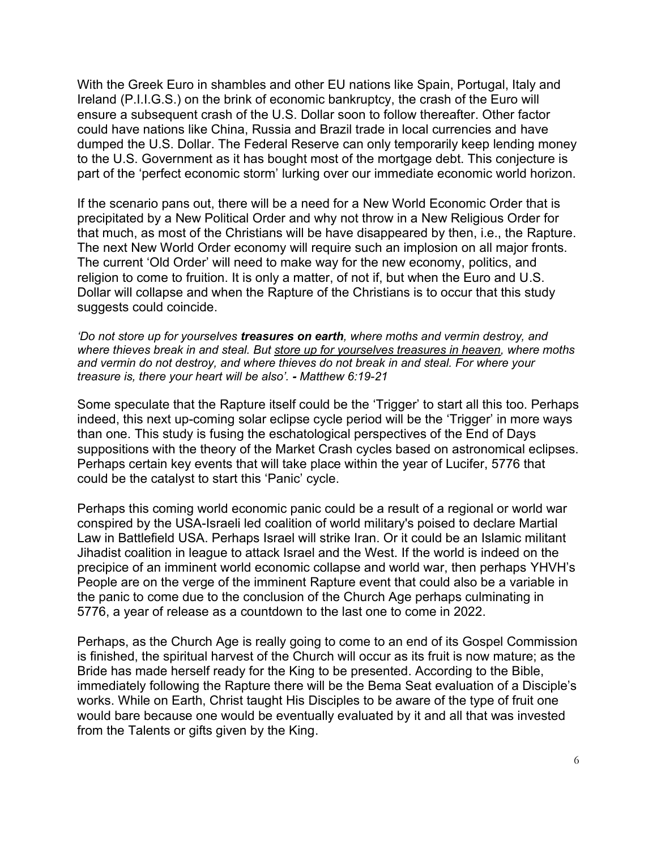With the Greek Euro in shambles and other EU nations like Spain, Portugal, Italy and Ireland (P.I.I.G.S.) on the brink of economic bankruptcy, the crash of the Euro will ensure a subsequent crash of the U.S. Dollar soon to follow thereafter. Other factor could have nations like China, Russia and Brazil trade in local currencies and have dumped the U.S. Dollar. The Federal Reserve can only temporarily keep lending money to the U.S. Government as it has bought most of the mortgage debt. This conjecture is part of the 'perfect economic storm' lurking over our immediate economic world horizon.

If the scenario pans out, there will be a need for a New World Economic Order that is precipitated by a New Political Order and why not throw in a New Religious Order for that much, as most of the Christians will be have disappeared by then, i.e., the Rapture. The next New World Order economy will require such an implosion on all major fronts. The current 'Old Order' will need to make way for the new economy, politics, and religion to come to fruition. It is only a matter, of not if, but when the Euro and U.S. Dollar will collapse and when the Rapture of the Christians is to occur that this study suggests could coincide.

*'Do not store up for yourselves treasures on earth, where moths and vermin destroy, and where thieves break in and steal. But store up for yourselves treasures in heaven, where moths and vermin do not destroy, and where thieves do not break in and steal. For where your treasure is, there your heart will be also'. - Matthew 6:19-21*

Some speculate that the Rapture itself could be the 'Trigger' to start all this too. Perhaps indeed, this next up-coming solar eclipse cycle period will be the 'Trigger' in more ways than one. This study is fusing the eschatological perspectives of the End of Days suppositions with the theory of the Market Crash cycles based on astronomical eclipses. Perhaps certain key events that will take place within the year of Lucifer, 5776 that could be the catalyst to start this 'Panic' cycle.

Perhaps this coming world economic panic could be a result of a regional or world war conspired by the USA-Israeli led coalition of world military's poised to declare Martial Law in Battlefield USA. Perhaps Israel will strike Iran. Or it could be an Islamic militant Jihadist coalition in league to attack Israel and the West. If the world is indeed on the precipice of an imminent world economic collapse and world war, then perhaps YHVH's People are on the verge of the imminent Rapture event that could also be a variable in the panic to come due to the conclusion of the Church Age perhaps culminating in 5776, a year of release as a countdown to the last one to come in 2022.

Perhaps, as the Church Age is really going to come to an end of its Gospel Commission is finished, the spiritual harvest of the Church will occur as its fruit is now mature; as the Bride has made herself ready for the King to be presented. According to the Bible, immediately following the Rapture there will be the Bema Seat evaluation of a Disciple's works. While on Earth, Christ taught His Disciples to be aware of the type of fruit one would bare because one would be eventually evaluated by it and all that was invested from the Talents or gifts given by the King.